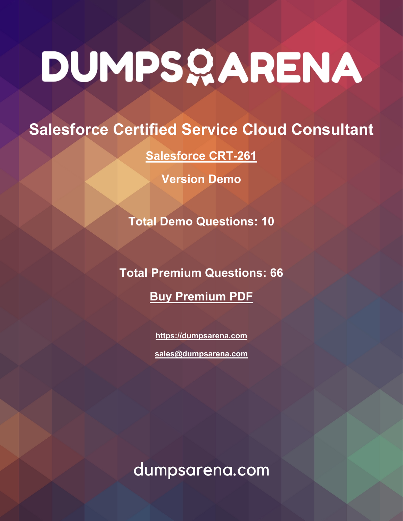# DUMPSQARENA

# **Salesforce Certified Service Cloud Consultant**

**[Salesforce CRT-261](https://dumpsarena.com/exam/crt-261/)**

**Version Demo**

**Total Demo Questions: 10**

**Total Premium Questions: 66 [Buy Premium PDF](https://dumpsarena.com/exam/crt-261/)**

> **[https://dumpsarena.com](https://dumpsarena.com/) [sales@dumpsarena.com](mailto:sales@dumpsarena.com)**

dumpsarena.com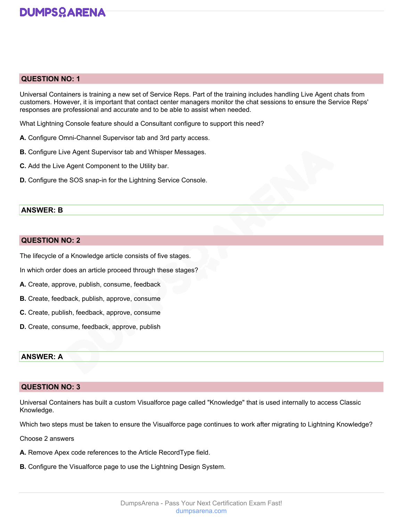

# **QUESTION NO: 1**

Universal Containers is training a new set of Service Reps. Part of the training includes handling Live Agent chats from customers. However, it is important that contact center managers monitor the chat sessions to ensure the Service Reps' responses are professional and accurate and to be able to assist when needed.

What Lightning Console feature should a Consultant configure to support this need?

- **A.** Configure Omni-Channel Supervisor tab and 3rd party access.
- **B.** Configure Live Agent Supervisor tab and Whisper Messages.
- **C.** Add the Live Agent Component to the Utility bar.
- **D.** Configure the SOS snap-in for the Lightning Service Console.

# **ANSWER: B**

# **QUESTION NO: 2**

The lifecycle of a Knowledge article consists of five stages.

In which order does an article proceed through these stages?

- **A.** Create, approve, publish, consume, feedback
- **B.** Create, feedback, publish, approve, consume
- **C.** Create, publish, feedback, approve, consume
- **D.** Create, consume, feedback, approve, publish

## **ANSWER: A**

# **QUESTION NO: 3**

Universal Containers has built a custom Visualforce page called "Knowledge" that is used internally to access Classic Knowledge.

Which two steps must be taken to ensure the Visualforce page continues to work after migrating to Lightning Knowledge?

Choose 2 answers

- **A.** Remove Apex code references to the Article RecordType field.
- **B.** Configure the Visualforce page to use the Lightning Design System.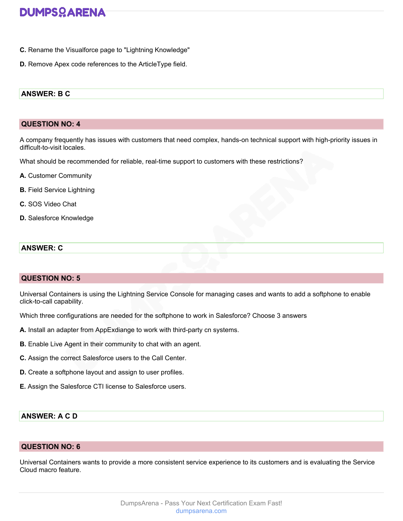- **C.** Rename the Visualforce page to "Lightning Knowledge"
- **D.** Remove Apex code references to the ArticleType field.

# **ANSWER: B C**

### **QUESTION NO: 4**

A company frequently has issues with customers that need complex, hands-on technical support with high-priority issues in difficult-to-visit locales.

What should be recommended for reliable, real-time support to customers with these restrictions?

- **A.** Customer Community
- **B.** Field Service Lightning
- **C.** SOS Video Chat
- **D.** Salesforce Knowledge

# **ANSWER: C**

# **QUESTION NO: 5**

Universal Containers is using the Lightning Service Console for managing cases and wants to add a softphone to enable click-to-call capability.

Which three configurations are needed for the softphone to work in Salesforce? Choose 3 answers

- **A.** Install an adapter from AppExdiange to work with third-party cn systems.
- **B.** Enable Live Agent in their community to chat with an agent.
- **C.** Assign the correct Salesforce users to the Call Center.
- **D.** Create a softphone layout and assign to user profiles.
- **E.** Assign the Salesforce CTI license to Salesforce users.

# **ANSWER: A C D**

# **QUESTION NO: 6**

Universal Containers wants to provide a more consistent service experience to its customers and is evaluating the Service Cloud macro feature.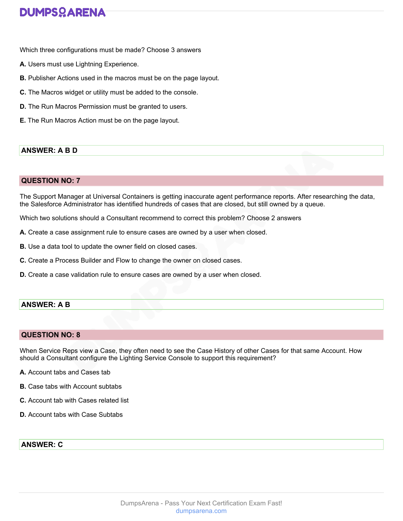# **DUMPSQARENA**

Which three configurations must be made? Choose 3 answers

- **A.** Users must use Lightning Experience.
- **B.** Publisher Actions used in the macros must be on the page layout.
- **C.** The Macros widget or utility must be added to the console.
- **D.** The Run Macros Permission must be granted to users.
- **E.** The Run Macros Action must be on the page layout.

# **ANSWER: A B D**

# **QUESTION NO: 7**

The Support Manager at Universal Containers is getting inaccurate agent performance reports. After researching the data, the Salesforce Administrator has identified hundreds of cases that are closed, but still owned by a queue.

Which two solutions should a Consultant recommend to correct this problem? Choose 2 answers

- **A.** Create a case assignment rule to ensure cases are owned by a user when closed.
- **B.** Use a data tool to update the owner field on closed cases.
- **C.** Create a Process Builder and Flow to change the owner on closed cases.
- **D.** Create a case validation rule to ensure cases are owned by a user when closed.

# **ANSWER: A B**

# **QUESTION NO: 8**

When Service Reps view a Case, they often need to see the Case History of other Cases for that same Account. How should a Consultant configure the Lighting Service Console to support this requirement?

- **A.** Account tabs and Cases tab
- **B.** Case tabs with Account subtabs
- **C.** Account tab with Cases related list
- **D.** Account tabs with Case Subtabs

# **ANSWER: C**